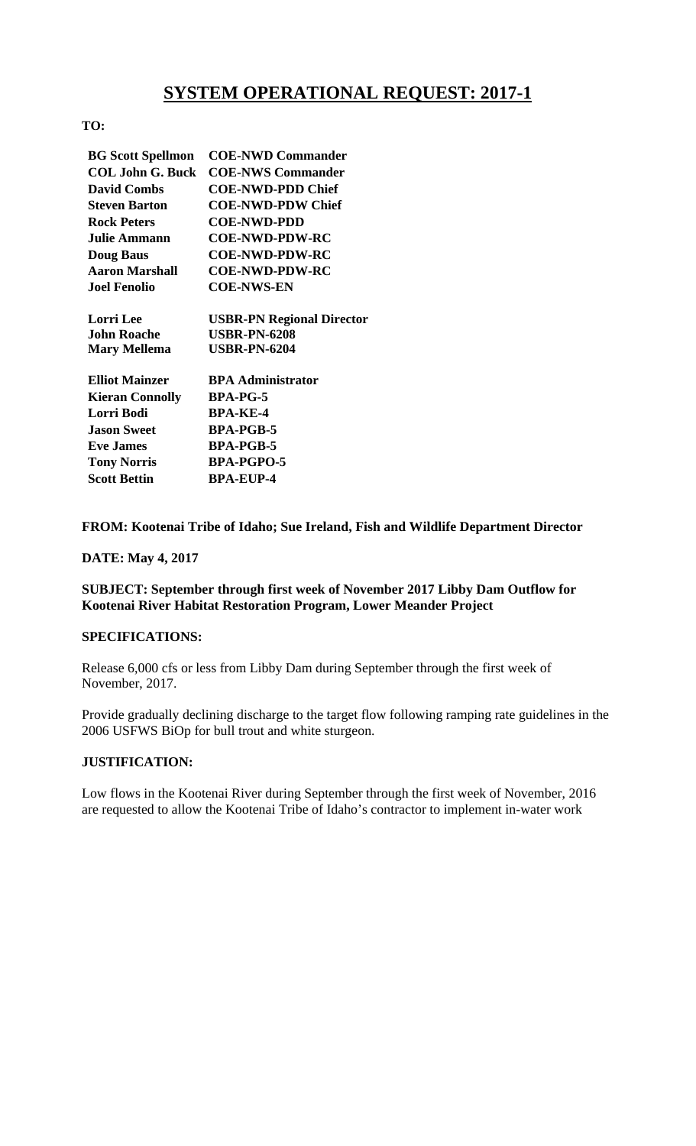# **SYSTEM OPERATIONAL REQUEST: 2017-1**

### **TO:**

| <b>BG Scott Spellmon</b> | <b>COE-NWD Commander</b>         |
|--------------------------|----------------------------------|
| <b>COL John G. Buck</b>  | <b>COE-NWS Commander</b>         |
| <b>David Combs</b>       | <b>COE-NWD-PDD Chief</b>         |
| <b>Steven Barton</b>     | <b>COE-NWD-PDW Chief</b>         |
| <b>Rock Peters</b>       | <b>COE-NWD-PDD</b>               |
| <b>Julie Ammann</b>      | <b>COE-NWD-PDW-RC</b>            |
| <b>Doug Baus</b>         | <b>COE-NWD-PDW-RC</b>            |
| <b>Aaron Marshall</b>    | <b>COE-NWD-PDW-RC</b>            |
| <b>Joel Fenolio</b>      | <b>COE-NWS-EN</b>                |
| <b>Lorri</b> Lee         | <b>USBR-PN Regional Director</b> |
| <b>John Roache</b>       | <b>USBR-PN-6208</b>              |
| <b>Mary Mellema</b>      | <b>USBR-PN-6204</b>              |
| <b>Elliot Mainzer</b>    | <b>BPA Administrator</b>         |
| <b>Kieran Connolly</b>   | <b>BPA-PG-5</b>                  |
| Lorri Bodi               | <b>BPA-KE-4</b>                  |
| <b>Jason Sweet</b>       | <b>BPA-PGB-5</b>                 |
| <b>Eve James</b>         | <b>BPA-PGB-5</b>                 |
| <b>Tony Norris</b>       | <b>BPA-PGPO-5</b>                |
| <b>Scott Bettin</b>      | <b>BPA-EUP-4</b>                 |

#### **FROM: Kootenai Tribe of Idaho; Sue Ireland, Fish and Wildlife Department Director**

#### **DATE: May 4, 2017**

**SUBJECT: September through first week of November 2017 Libby Dam Outflow for Kootenai River Habitat Restoration Program, Lower Meander Project** 

#### **SPECIFICATIONS:**

Release 6,000 cfs or less from Libby Dam during September through the first week of November, 2017.

Provide gradually declining discharge to the target flow following ramping rate guidelines in the 2006 USFWS BiOp for bull trout and white sturgeon.

## **JUSTIFICATION:**

Low flows in the Kootenai River during September through the first week of November, 2016 are requested to allow the Kootenai Tribe of Idaho's contractor to implement in-water work